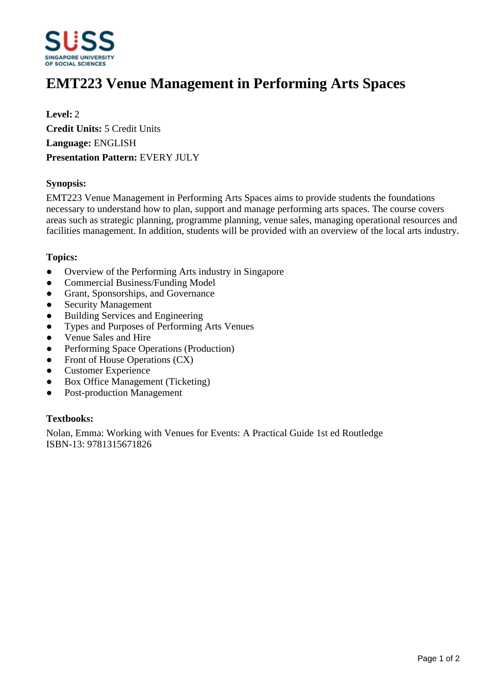

# **EMT223 Venue Management in Performing Arts Spaces**

**Level:** 2 **Credit Units:** 5 Credit Units **Language:** ENGLISH **Presentation Pattern:** EVERY JULY

## **Synopsis:**

EMT223 Venue Management in Performing Arts Spaces aims to provide students the foundations necessary to understand how to plan, support and manage performing arts spaces. The course covers areas such as strategic planning, programme planning, venue sales, managing operational resources and facilities management. In addition, students will be provided with an overview of the local arts industry.

#### **Topics:**

- Overview of the Performing Arts industry in Singapore
- Commercial Business/Funding Model
- Grant, Sponsorships, and Governance
- Security Management
- Building Services and Engineering
- ƔTypes and Purposes of Performing Arts Venues
- ƔVenue Sales and Hire
- Performing Space Operations (Production)
- Front of House Operations (CX)
- Customer Experience
- Box Office Management (Ticketing)
- Post-production Management

## **Textbooks:**

Nolan, Emma: Working with Venues for Events: A Practical Guide 1st ed Routledge ISBN-13: 9781315671826